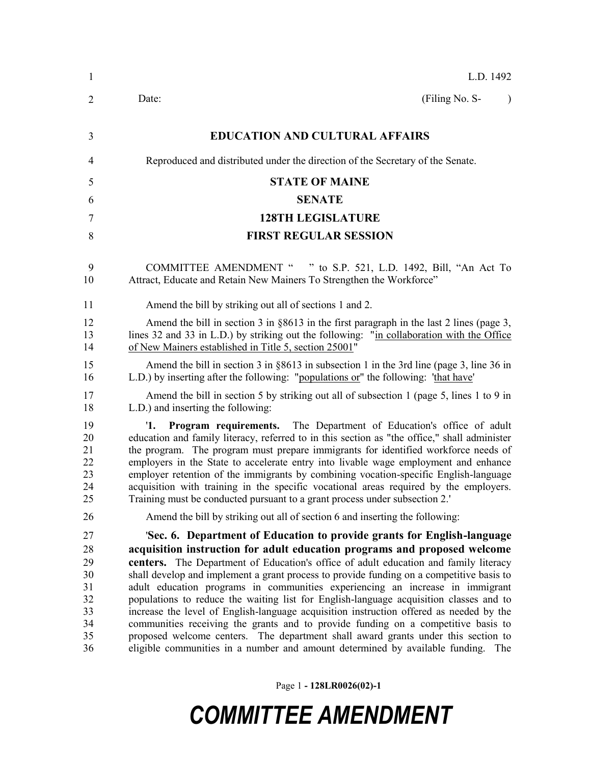| (Filing No. S-<br>$\lambda$<br>Reproduced and distributed under the direction of the Secretary of the Senate.                                                                                                                                                                                                                                                                                                                                                                                                                                                                                                                                                                                                                                                                                                                                                                |
|------------------------------------------------------------------------------------------------------------------------------------------------------------------------------------------------------------------------------------------------------------------------------------------------------------------------------------------------------------------------------------------------------------------------------------------------------------------------------------------------------------------------------------------------------------------------------------------------------------------------------------------------------------------------------------------------------------------------------------------------------------------------------------------------------------------------------------------------------------------------------|
|                                                                                                                                                                                                                                                                                                                                                                                                                                                                                                                                                                                                                                                                                                                                                                                                                                                                              |
|                                                                                                                                                                                                                                                                                                                                                                                                                                                                                                                                                                                                                                                                                                                                                                                                                                                                              |
|                                                                                                                                                                                                                                                                                                                                                                                                                                                                                                                                                                                                                                                                                                                                                                                                                                                                              |
|                                                                                                                                                                                                                                                                                                                                                                                                                                                                                                                                                                                                                                                                                                                                                                                                                                                                              |
|                                                                                                                                                                                                                                                                                                                                                                                                                                                                                                                                                                                                                                                                                                                                                                                                                                                                              |
|                                                                                                                                                                                                                                                                                                                                                                                                                                                                                                                                                                                                                                                                                                                                                                                                                                                                              |
|                                                                                                                                                                                                                                                                                                                                                                                                                                                                                                                                                                                                                                                                                                                                                                                                                                                                              |
| COMMITTEE AMENDMENT " " to S.P. 521, L.D. 1492, Bill, "An Act To                                                                                                                                                                                                                                                                                                                                                                                                                                                                                                                                                                                                                                                                                                                                                                                                             |
|                                                                                                                                                                                                                                                                                                                                                                                                                                                                                                                                                                                                                                                                                                                                                                                                                                                                              |
| Amend the bill in section 3 in $\S 8613$ in the first paragraph in the last 2 lines (page 3,<br>lines 32 and 33 in L.D.) by striking out the following: "in collaboration with the Office                                                                                                                                                                                                                                                                                                                                                                                                                                                                                                                                                                                                                                                                                    |
| Amend the bill in section 3 in $\S 8613$ in subsection 1 in the 3rd line (page 3, line 36 in                                                                                                                                                                                                                                                                                                                                                                                                                                                                                                                                                                                                                                                                                                                                                                                 |
| Amend the bill in section 5 by striking out all of subsection 1 (page 5, lines 1 to 9 in                                                                                                                                                                                                                                                                                                                                                                                                                                                                                                                                                                                                                                                                                                                                                                                     |
| Program requirements. The Department of Education's office of adult<br>education and family literacy, referred to in this section as "the office," shall administer<br>the program. The program must prepare immigrants for identified workforce needs of<br>employers in the State to accelerate entry into livable wage employment and enhance<br>employer retention of the immigrants by combining vocation-specific English-language<br>acquisition with training in the specific vocational areas required by the employers.                                                                                                                                                                                                                                                                                                                                            |
|                                                                                                                                                                                                                                                                                                                                                                                                                                                                                                                                                                                                                                                                                                                                                                                                                                                                              |
| 'Sec. 6. Department of Education to provide grants for English-language<br>acquisition instruction for adult education programs and proposed welcome<br>centers. The Department of Education's office of adult education and family literacy<br>shall develop and implement a grant process to provide funding on a competitive basis to<br>adult education programs in communities experiencing an increase in immigrant<br>populations to reduce the waiting list for English-language acquisition classes and to<br>increase the level of English-language acquisition instruction offered as needed by the<br>communities receiving the grants and to provide funding on a competitive basis to<br>proposed welcome centers. The department shall award grants under this section to<br>eligible communities in a number and amount determined by available funding. The |
| L.D.) by inserting after the following: "populations or" the following: 'that have'                                                                                                                                                                                                                                                                                                                                                                                                                                                                                                                                                                                                                                                                                                                                                                                          |

Page 1 **- 128LR0026(02)-1**

# *COMMITTEE AMENDMENT*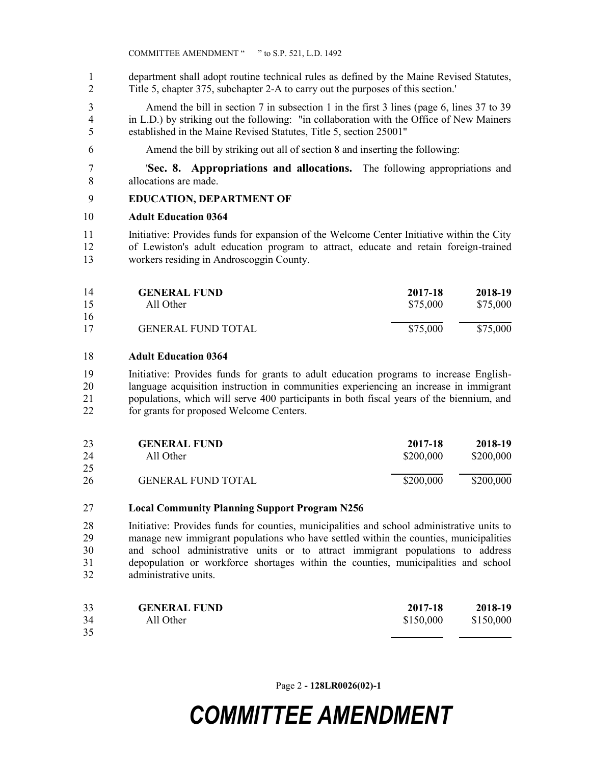department shall adopt routine technical rules as defined by the Maine Revised Statutes, Title 5, chapter 375, subchapter 2-A to carry out the purposes of this section.'

 Amend the bill in section 7 in subsection 1 in the first 3 lines (page 6, lines 37 to 39 in L.D.) by striking out the following: "in collaboration with the Office of New Mainers established in the Maine Revised Statutes, Title 5, section 25001"

Amend the bill by striking out all of section 8 and inserting the following:

 '**Sec. 8. Appropriations and allocations.** The following appropriations and allocations are made.

### **EDUCATION, DEPARTMENT OF**

#### **Adult Education 0364**

 Initiative: Provides funds for expansion of the Welcome Center Initiative within the City of Lewiston's adult education program to attract, educate and retain foreign-trained workers residing in Androscoggin County.

| <b>GENERAL FUND</b> | 2017-18                   | 2018-19  |
|---------------------|---------------------------|----------|
| All Other           | \$75,000                  | \$75,000 |
|                     |                           | \$75,000 |
|                     | <b>GENERAL FUND TOTAL</b> | \$75,000 |

#### **Adult Education 0364**

 Initiative: Provides funds for grants to adult education programs to increase English- language acquisition instruction in communities experiencing an increase in immigrant populations, which will serve 400 participants in both fiscal years of the biennium, and for grants for proposed Welcome Centers.

| 23       | <b>GENERAL FUND</b>       | 2017-18   | 2018-19   |
|----------|---------------------------|-----------|-----------|
| 24       | All Other                 | \$200,000 | \$200,000 |
| 25<br>26 | <b>GENERAL FUND TOTAL</b> | \$200,000 | \$200,000 |

#### **Local Community Planning Support Program N256**

 Initiative: Provides funds for counties, municipalities and school administrative units to manage new immigrant populations who have settled within the counties, municipalities and school administrative units or to attract immigrant populations to address depopulation or workforce shortages within the counties, municipalities and school administrative units.

| 33 | <b>GENERAL FUND</b> | 2017-18   | 2018-19   |
|----|---------------------|-----------|-----------|
| 34 | All Other           | \$150,000 | \$150,000 |
| 35 |                     |           |           |

Page 2 **- 128LR0026(02)-1**

# *COMMITTEE AMENDMENT*